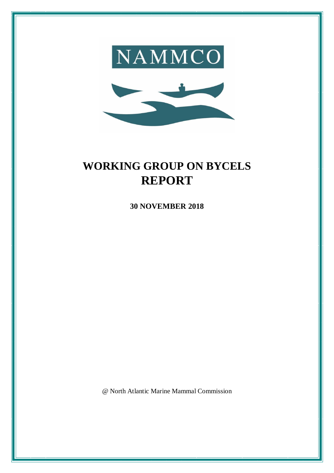



# **WORKING GROUP ON BYCELS REPORT**

**30 NOVEMBER 2018**

@ North Atlantic Marine Mammal Commission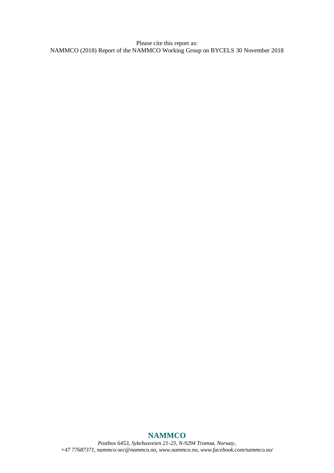Please cite this report as: NAMMCO (2018) Report of the NAMMCO Working Group on BYCELS 30 November 2018

# **NAMMCO**

*Postbox 6453, Sykehusveien 21-23, N-9294 Tromsø, Norway, +47 77687371[, nammco-sec@nammco.no,](mailto:nammco-sec@nammco.no) [www.nammco.no,](http://www.nammco.no/) [www.facebook.com/nammco.no/](http://www.facebook.com/nammco.no/)*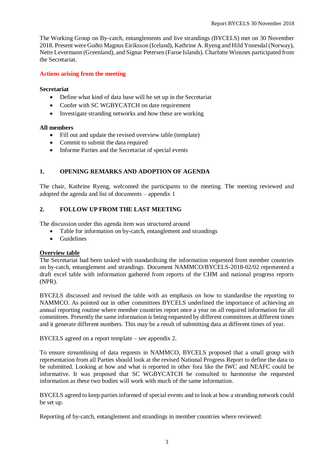The Working Group on By-catch, entanglements and live strandings (BYCELS) met on 30 November 2018. Present were Guðni Magnus Eiríksson (Iceland), Kathrine A. Ryeng and Hild Ynnesdal (Norway), Nette Levermann (Greenland), and Signar Petersen (Faroe Islands). Charlotte Winsnes participated from the Secretariat.

#### **Actions arising from the meeting**

#### **Secretariat**

- Define what kind of data base will be set up in the Secretariat
- Confer with SC WGBYCATCH on date requirement
- Investigate stranding networks and how these are working

#### **All members**

- Fill out and update the revised overview table (template)
- Commit to submit the data required
- Informe Parties and the Secretariat of special events

#### **1. OPENING REMARKS AND ADOPTION OF AGENDA**

The chair, Kathrine Ryeng, welcomed the participants to the meeting. The meeting reviewed and adopted the agenda and list of documents – appendix 1

#### **2. FOLLOW UP FROM THE LAST MEETING**

The discussion under this agenda item was structured around

- Table for information on by-catch, entanglement and strandings
- Guidelines

#### **Overview table**

The Secretariat had been tasked with standardising the information requested from member countries on by-catch, entanglement and strandings. Document NAMMCO/BYCELS-2018-02/02 represented a draft excel table with information gathered from reports of the CHM and national progress reports (NPR).

BYCELS discussed and revised the table with an emphasis on how to standardise the reporting to NAMMCO. As pointed out in other committees BYCELS underlined the importance of achieving an annual reporting routine where member countries report once a year on all required information for all committees. Presently the same information is being requested by different committees at different times and it generate different numbers. This may be a result of submitting data at different times of year.

BYCELS agreed on a report template – see appendix 2.

To ensure streamlining of data requests in NAMMCO, BYCELS proposed that a small group with representation from all Parties should look at the revised National Progress Report to define the data to be submitted. Looking at how and what is reported in other fora like the IWC and NEAFC could be informative. It was proposed that SC WGBYCATCH be consulted to harmonise the requested information as these two bodies will work with much of the same information.

BYCELS agreed to keep parties informed of special events and to look at how a stranding network could be set up.

Reporting of by-catch, entanglement and strandings in member countries where reviewed: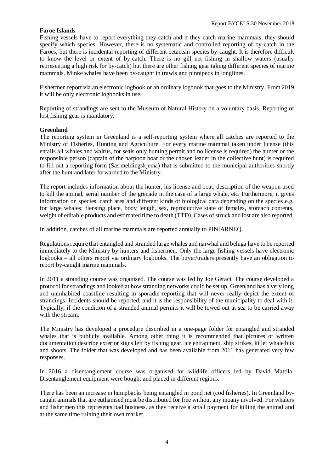#### **Faroe Islands**

Fishing vessels have to report everything they catch and if they catch marine mammals, they should specify which species. However, there is no systematic and controlled reporting of by-catch in the Faroes, but there is incidental reporting of different cetacean species by-caught. It is therefore difficult to know the level or extent of by-catch. There is no gill net fishing in shallow waters (usually representing a high risk for by-catch) but there are other fishing gear taking different species of marine mammals. Minke whales have been by-caught in trawls and pinnipeds in longlines.

Fishermen report via an electronic logbook or an ordinary logbook that goes to the Ministry. From 2019 it will be only electronic logbooks in use.

Reporting of strandings are sent to the Museum of Natural History on a voluntary basis. Reporting of lost fishing gear is mandatory.

#### **Greenland**

The reporting system in Greenland is a self-reporting system where all catches are reported to the Ministry of Fisheries, Hunting and Agriculture. For every marine mammal taken under license (this entails all whales and walrus, for seals only hunting permit and no license is required) the hunter or the responsible person (captain of the harpoon boat or the chosen leader in the collective hunt) is required to fill out a reporting form (Særmeldingskjema) that is submitted to the municipal authorities shortly after the hunt and later forwarded to the Ministry.

The report includes information about the hunter, his license and boat, description of the weapon used to kill the animal, serial number of the grenade in the case of a large whale, etc. Furthermore, it gives information on species, catch area and different kinds of biological data depending on the species e.g. for large whales: flensing place, body length, sex, reproductive state of females, stomach contents, weight of editable products and estimated time to death (TTD). Cases of struck and lost are also reported.

In addition, catches of all marine mammals are reported annually to PINIARNEQ.

Regulations require that entangled and stranded large whales and narwhal and beluga have to be reported immediately to the Ministry by hunters and fishermen. Only the large fishing vessels have electronic logbooks – all others report via ordinary logbooks. The buyer/traders presently have an obligation to report by-caught marine mammals.

In 2011 a stranding course was organised. The course was led by Joe Geraci. The course developed a protocol for strandings and looked at how stranding networks could be set up. Greenland has a very long and uninhabited coastline resulting in sporadic reporting that will never really depict the extent of strandings. Incidents should be reported, and it is the responsibility of the municipality to deal with it. Typically, if the condition of a stranded animal permits it will be towed out at sea to be carried away with the stream.

The Ministry has developed a procedure described in a one-page folder for entangled and stranded whales that is publicly available. Among other thing it is recommended that pictures or written documentation describe exterior signs left by fishing gear, ice entrapment, ship strikes, killer whale bits and shoots. The folder that was developed and has been available from 2011 has generated very few responses.

In 2016 a disentanglement course was organised for wildlife officers led by David Mattila. Disentanglement equipment were bought and placed in different regions.

There has been an increase in humpbacks being entangled in pond net (cod fisheries). In Greenland bycaught animals that are euthanised must be distributed for free without any moany involved. For whalers and fishermen this represents bad business, as they receive a small payment for killing the animal and at the same time ruining their own market.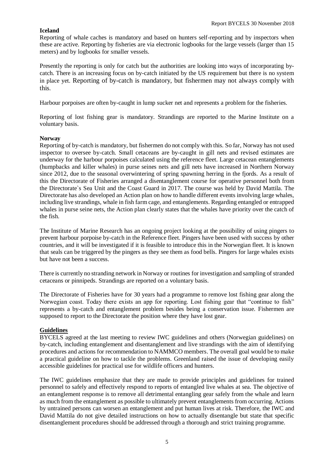#### **Iceland**

Reporting of whale caches is mandatory and based on hunters self-reporting and by inspectors when these are active. Reporting by fisheries are via electronic logbooks for the large vessels (larger than 15 meters) and by logbooks for smaller vessels.

Presently the reporting is only for catch but the authorities are looking into ways of incorporating bycatch. There is an increasing focus on by-catch initiated by the US requirement but there is no system in place yet. Reporting of by-catch is mandatory, but fishermen may not always comply with this.

Harbour porpoises are often by-caught in lump sucker net and represents a problem for the fisheries.

Reporting of lost fishing gear is mandatory. Strandings are reported to the Marine Institute on a voluntary basis.

#### **Norway**

Reporting of by-catch is mandatory, but fishermen do not comply with this. So far, Norway has not used inspector to oversee by-catch. Small cetaceans are by-caught in gill nets and revised estimates are underway for the harbour porpoises calculated using the reference fleet. Large cetacean entanglements (humpbacks and killer whales) in purse seines nets and gill nets have increased in Northern Norway since 2012, due to the seasonal overwintering of spring spawning herring in the fjords. As a result of this the Directorate of Fisheries arranged a disentanglement course for operative personnel both from the Directorate`s Sea Unit and the Coast Guard in 2017. The course was held by David Mattila. The Directorate has also developed an Action plan on how to handle different events involving large whales, including live strandings, whale in fish farm cage, and entanglements. Regarding entangled or entrapped whales in purse seine nets, the Action plan clearly states that the whales have priority over the catch of the fish.

The Institute of Marine Research has an ongoing project looking at the possibility of using pingers to prevent harbour porpoise by-catch in the Reference fleet. Pingers have been used with success by other countries, and it will be investigated if it is feasible to introduce this in the Norwegian fleet. It is known that seals can be triggered by the pingers as they see them as food bells. Pingers for large whales exists but have not been a success.

There is currently no stranding network in Norway or routines for investigation and sampling of stranded cetaceans or pinnipeds. Strandings are reported on a voluntary basis.

The Directorate of Fisheries have for 30 years had a programme to remove lost fishing gear along the Norwegian coast. Today there exists an app for reporting. Lost fishing gear that "continue to fish" represents a by-catch and entanglement problem besides being a conservation issue. Fishermen are supposed to report to the Directorate the position where they have lost gear.

#### **Guidelines**

BYCELS agreed at the last meeting to review IWC guidelines and others (Norwegian guidelines) on by-catch, including entanglement and disentanglement and live strandings with the aim of identifying procedures and actions for recommendation to NAMMCO members. The overall goal would be to make a practical guideline on how to tackle the problems. Greenland raised the issue of developing easily accessible guidelines for practical use for wildlife officers and hunters.

The IWC guidelines emphasize that they are made to provide principles and guidelines for trained personnel to safely and effectively respond to reports of entangled live whales at sea. The objective of an entanglement response is to remove all detrimental entangling gear safely from the whale and learn as much from the entanglement as possible to ultimately prevent entanglements from occurring. Actions by untrained persons can worsen an entanglement and put human lives at risk. Therefore, the IWC and David Mattila do not give detailed instructions on how to actually disentangle but state that specific disentanglement procedures should be addressed through a thorough and strict training programme.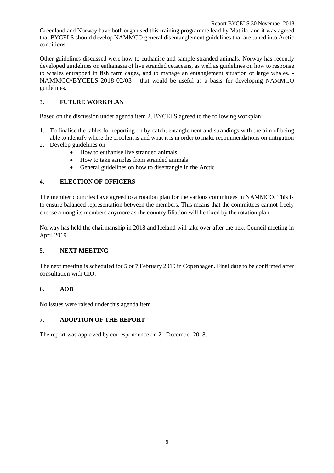Greenland and Norway have both organised this training programme lead by Mattila, and it was agreed that BYCELS should develop NAMMCO general disentanglement guidelines that are tuned into Arctic conditions.

Other guidelines discussed were how to euthanise and sample stranded animals. Norway has recently developed guidelines on euthanasia of live stranded cetaceans, as well as guidelines on how to response to whales entrapped in fish farm cages, and to manage an entanglement situation of large whales. - NAMMCO/BYCELS-2018-02/03 - that would be useful as a basis for developing NAMMCO guidelines.

# **3. FUTURE WORKPLAN**

Based on the discussion under agenda item 2, BYCELS agreed to the following workplan:

- 1. To finalise the tables for reporting on by-catch, entanglement and strandings with the aim of being able to identify where the problem is and what it is in order to make recommendations on mitigation
- 2. Develop guidelines on
	- How to euthanise live stranded animals
	- How to take samples from stranded animals
	- General guidelines on how to disentangle in the Arctic

# **4. ELECTION OF OFFICERS**

The member countries have agreed to a rotation plan for the various committees in NAMMCO. This is to ensure balanced representation between the members. This means that the committees cannot freely choose among its members anymore as the country filiation will be fixed by the rotation plan.

Norway has held the chairmanship in 2018 and Iceland will take over after the next Council meeting in April 2019.

# **5. NEXT MEETING**

The next meeting is scheduled for 5 or 7 February 2019 in Copenhagen. Final date to be confirmed after consultation with CIO.

#### **6. AOB**

No issues were raised under this agenda item.

#### **7. ADOPTION OF THE REPORT**

The report was approved by correspondence on 21 December 2018.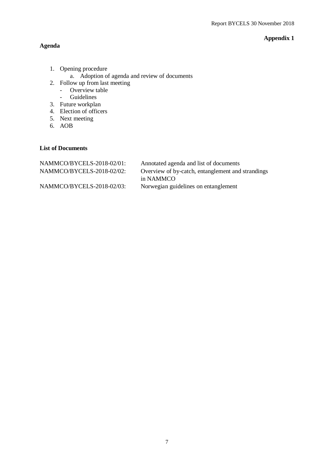# **Agenda**

# **Appendix 1**

- 1. Opening procedure
	- a. Adoption of agenda and review of documents
- 2. Follow up from last meeting
	- Overview table
	- Guidelines
- 3. Future workplan
- 4. Election of officers
- 5. Next meeting
- 6. AOB

#### **List of Documents**

| NAMMCO/BYCELS-2018-02/01: | Annotated agenda and list of documents            |
|---------------------------|---------------------------------------------------|
| NAMMCO/BYCELS-2018-02/02: | Overview of by-catch, entanglement and strandings |
|                           | in NAMMCO                                         |
| NAMMCO/BYCELS-2018-02/03: | Norwegian guidelines on entanglement              |